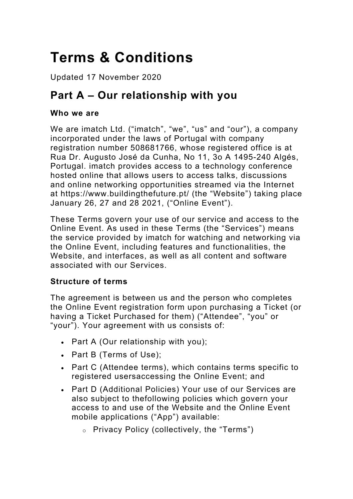# **Terms & Conditions**

Updated 17 November 2020

## **Part A – Our relationship with you**

#### **Who we are**

We are imatch Ltd. ("imatch", "we", "us" and "our"), a company incorporated under the laws of Portugal with company registration number 508681766, whose registered office is at Rua Dr. Augusto José da Cunha, No 11, 3o A 1495-240 Algés, Portugal. imatch provides access to a technology conference hosted online that allows users to access talks, discussions and online networking opportunities streamed via the Internet at https://www.buildingthefuture.pt/ (the "Website") taking place January 26, 27 and 28 2021, ("Online Event").

These Terms govern your use of our service and access to the Online Event. As used in these Terms (the "Services") means the service provided by imatch for watching and networking via the Online Event, including features and functionalities, the Website, and interfaces, as well as all content and software associated with our Services.

#### **Structure of terms**

The agreement is between us and the person who completes the Online Event registration form upon purchasing a Ticket (or having a Ticket Purchased for them) ("Attendee", "you" or "your"). Your agreement with us consists of:

- Part A (Our relationship with you);
- Part B (Terms of Use);
- Part C (Attendee terms), which contains terms specific to registered usersaccessing the Online Event; and
- Part D (Additional Policies) Your use of our Services are also subject to thefollowing policies which govern your access to and use of the Website and the Online Event mobile applications ("App") available:
	- o Privacy Policy (collectively, the "Terms")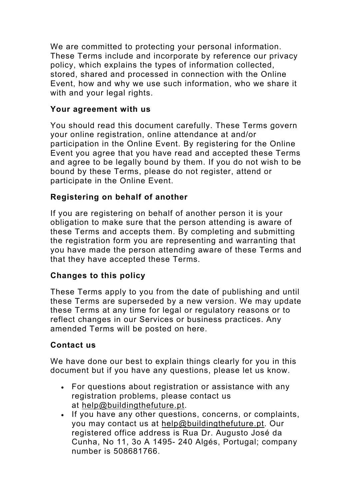We are committed to protecting your personal information. These Terms include and incorporate by reference our privacy policy, which explains the types of information collected, stored, shared and processed in connection with the Online Event, how and why we use such information, who we share it with and your legal rights.

#### **Your agreement with us**

You should read this document carefully. These Terms govern your online registration, online attendance at and/or participation in the Online Event. By registering for the Online Event you agree that you have read and accepted these Terms and agree to be legally bound by them. If you do not wish to be bound by these Terms, please do not register, attend or participate in the Online Event.

## **Registering on behalf of another**

If you are registering on behalf of another person it is your obligation to make sure that the person attending is aware of these Terms and accepts them. By completing and submitting the registration form you are representing and warranting that you have made the person attending aware of these Terms and that they have accepted these Terms.

#### **Changes to this policy**

These Terms apply to you from the date of publishing and until these Terms are superseded by a new version. We may update these Terms at any time for legal or regulatory reasons or to reflect changes in our Services or business practices. Any amended Terms will be posted on here.

## **Contact us**

We have done our best to explain things clearly for you in this document but if you have any questions, please let us know.

- For questions about registration or assistance with any registration problems, please contact us at help@buildingthefuture.pt.
- If you have any other questions, concerns, or complaints, you may contact us at help@buildingthefuture.pt. Our registered office address is Rua Dr. Augusto José da Cunha, No 11, 3o A 1495- 240 Algés, Portugal; company number is 508681766.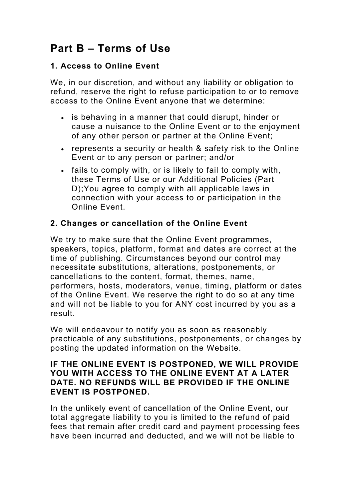## **Part B – Terms of Use**

## **1. Access to Online Event**

We, in our discretion, and without any liability or obligation to refund, reserve the right to refuse participation to or to remove access to the Online Event anyone that we determine:

- is behaving in a manner that could disrupt, hinder or cause a nuisance to the Online Event or to the enjoyment of any other person or partner at the Online Event;
- represents a security or health & safety risk to the Online Event or to any person or partner; and/or
- fails to comply with, or is likely to fail to comply with, these Terms of Use or our Additional Policies (Part D);You agree to comply with all applicable laws in connection with your access to or participation in the Online Event.

### **2. Changes or cancellation of the Online Event**

We try to make sure that the Online Event programmes, speakers, topics, platform, format and dates are correct at the time of publishing. Circumstances beyond our control may necessitate substitutions, alterations, postponements, or cancellations to the content, format, themes, name, performers, hosts, moderators, venue, timing, platform or dates of the Online Event. We reserve the right to do so at any time and will not be liable to you for ANY cost incurred by you as a result.

We will endeavour to notify you as soon as reasonably practicable of any substitutions, postponements, or changes by posting the updated information on the Website.

#### **IF THE ONLINE EVENT IS POSTPONED, WE WILL PROVIDE YOU WITH ACCESS TO THE ONLINE EVENT AT A LATER DATE. NO REFUNDS WILL BE PROVIDED IF THE ONLINE EVENT IS POSTPONED.**

In the unlikely event of cancellation of the Online Event, our total aggregate liability to you is limited to the refund of paid fees that remain after credit card and payment processing fees have been incurred and deducted, and we will not be liable to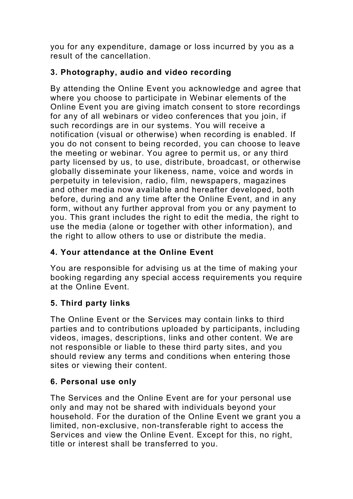you for any expenditure, damage or loss incurred by you as a result of the cancellation.

## **3. Photography, audio and video recording**

By attending the Online Event you acknowledge and agree that where you choose to participate in Webinar elements of the Online Event you are giving imatch consent to store recordings for any of all webinars or video conferences that you join, if such recordings are in our systems. You will receive a notification (visual or otherwise) when recording is enabled. If you do not consent to being recorded, you can choose to leave the meeting or webinar. You agree to permit us, or any third party licensed by us, to use, distribute, broadcast, or otherwise globally disseminate your likeness, name, voice and words in perpetuity in television, radio, film, newspapers, magazines and other media now available and hereafter developed, both before, during and any time after the Online Event, and in any form, without any further approval from you or any payment to you. This grant includes the right to edit the media, the right to use the media (alone or together with other information), and the right to allow others to use or distribute the media.

## **4. Your attendance at the Online Event**

You are responsible for advising us at the time of making your booking regarding any special access requirements you require at the Online Event.

## **5. Third party links**

The Online Event or the Services may contain links to third parties and to contributions uploaded by participants, including videos, images, descriptions, links and other content. We are not responsible or liable to these third party sites, and you should review any terms and conditions when entering those sites or viewing their content.

## **6. Personal use only**

The Services and the Online Event are for your personal use only and may not be shared with individuals beyond your household. For the duration of the Online Event we grant you a limited, non-exclusive, non-transferable right to access the Services and view the Online Event. Except for this, no right, title or interest shall be transferred to you.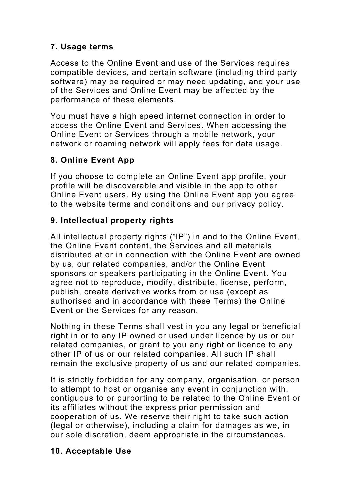## **7. Usage terms**

Access to the Online Event and use of the Services requires compatible devices, and certain software (including third party software) may be required or may need updating, and your use of the Services and Online Event may be affected by the performance of these elements.

You must have a high speed internet connection in order to access the Online Event and Services. When accessing the Online Event or Services through a mobile network, your network or roaming network will apply fees for data usage.

## **8. Online Event App**

If you choose to complete an Online Event app profile, your profile will be discoverable and visible in the app to other Online Event users. By using the Online Event app you agree to the website terms and conditions and our privacy policy.

### **9. Intellectual property rights**

All intellectual property rights ("IP") in and to the Online Event, the Online Event content, the Services and all materials distributed at or in connection with the Online Event are owned by us, our related companies, and/or the Online Event sponsors or speakers participating in the Online Event. You agree not to reproduce, modify, distribute, license, perform, publish, create derivative works from or use (except as authorised and in accordance with these Terms) the Online Event or the Services for any reason.

Nothing in these Terms shall vest in you any legal or beneficial right in or to any IP owned or used under licence by us or our related companies, or grant to you any right or licence to any other IP of us or our related companies. All such IP shall remain the exclusive property of us and our related companies.

It is strictly forbidden for any company, organisation, or person to attempt to host or organise any event in conjunction with, contiguous to or purporting to be related to the Online Event or its affiliates without the express prior permission and cooperation of us. We reserve their right to take such action (legal or otherwise), including a claim for damages as we, in our sole discretion, deem appropriate in the circumstances.

#### **10. Acceptable Use**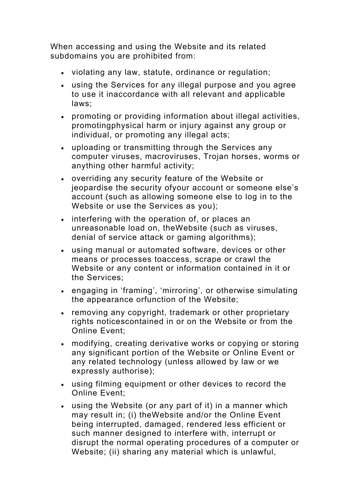When accessing and using the Website and its related subdomains you are prohibited from:

- violating any law, statute, ordinance or regulation;
- using the Services for any illegal purpose and you agree to use it inaccordance with all relevant and applicable laws;
- promoting or providing information about illegal activities, promotingphysical harm or injury against any group or individual, or promoting any illegal acts;
- uploading or transmitting through the Services any computer viruses, macroviruses, Trojan horses, worms or anything other harmful activity;
- overriding any security feature of the Website or jeopardise the security ofyour account or someone else's account (such as allowing someone else to log in to the Website or use the Services as you);
- interfering with the operation of, or places an unreasonable load on, theWebsite (such as viruses, denial of service attack or gaming algorithms);
- using manual or automated software, devices or other means or processes toaccess, scrape or crawl the Website or any content or information contained in it or the Services;
- engaging in 'framing', 'mirroring', or otherwise simulating the appearance orfunction of the Website;
- removing any copyright, trademark or other proprietary rights noticescontained in or on the Website or from the Online Event;
- modifying, creating derivative works or copying or storing any significant portion of the Website or Online Event or any related technology (unless allowed by law or we expressly authorise);
- using filming equipment or other devices to record the Online Event;
- using the Website (or any part of it) in a manner which may result in; (i) theWebsite and/or the Online Event being interrupted, damaged, rendered less efficient or such manner designed to interfere with, interrupt or disrupt the normal operating procedures of a computer or Website; (ii) sharing any material which is unlawful,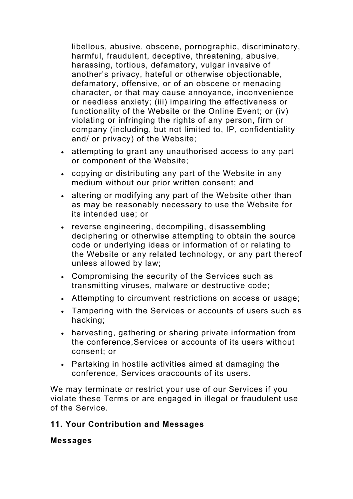libellous, abusive, obscene, pornographic, discriminatory, harmful, fraudulent, deceptive, threatening, abusive, harassing, tortious, defamatory, vulgar invasive of another's privacy, hateful or otherwise objectionable, defamatory, offensive, or of an obscene or menacing character, or that may cause annoyance, inconvenience or needless anxiety; (iii) impairing the effectiveness or functionality of the Website or the Online Event; or (iv) violating or infringing the rights of any person, firm or company (including, but not limited to, IP, confidentiality and/ or privacy) of the Website;

- attempting to grant any unauthorised access to any part or component of the Website;
- copying or distributing any part of the Website in any medium without our prior written consent; and
- altering or modifying any part of the Website other than as may be reasonably necessary to use the Website for its intended use; or
- reverse engineering, decompiling, disassembling deciphering or otherwise attempting to obtain the source code or underlying ideas or information of or relating to the Website or any related technology, or any part thereof unless allowed by law;
- Compromising the security of the Services such as transmitting viruses, malware or destructive code;
- Attempting to circumvent restrictions on access or usage;
- Tampering with the Services or accounts of users such as hacking;
- harvesting, gathering or sharing private information from the conference,Services or accounts of its users without consent; or
- Partaking in hostile activities aimed at damaging the conference, Services oraccounts of its users.

We may terminate or restrict your use of our Services if you violate these Terms or are engaged in illegal or fraudulent use of the Service.

#### **11. Your Contribution and Messages**

#### **Messages**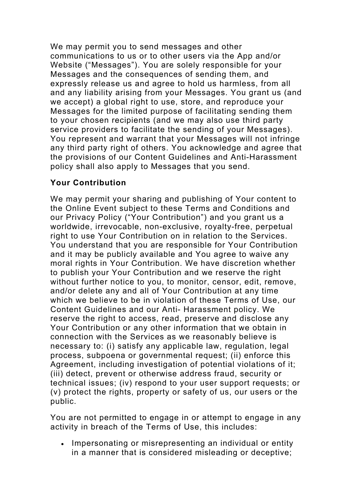We may permit you to send messages and other communications to us or to other users via the App and/or Website ("Messages"). You are solely responsible for your Messages and the consequences of sending them, and expressly release us and agree to hold us harmless, from all and any liability arising from your Messages. You grant us (and we accept) a global right to use, store, and reproduce your Messages for the limited purpose of facilitating sending them to your chosen recipients (and we may also use third party service providers to facilitate the sending of your Messages). You represent and warrant that your Messages will not infringe any third party right of others. You acknowledge and agree that the provisions of our Content Guidelines and Anti-Harassment policy shall also apply to Messages that you send.

## **Your Contribution**

We may permit your sharing and publishing of Your content to the Online Event subject to these Terms and Conditions and our Privacy Policy ("Your Contribution") and you grant us a worldwide, irrevocable, non-exclusive, royalty-free, perpetual right to use Your Contribution on in relation to the Services. You understand that you are responsible for Your Contribution and it may be publicly available and You agree to waive any moral rights in Your Contribution. We have discretion whether to publish your Your Contribution and we reserve the right without further notice to you, to monitor, censor, edit, remove, and/or delete any and all of Your Contribution at any time which we believe to be in violation of these Terms of Use, our Content Guidelines and our Anti- Harassment policy. We reserve the right to access, read, preserve and disclose any Your Contribution or any other information that we obtain in connection with the Services as we reasonably believe is necessary to: (i) satisfy any applicable law, regulation, legal process, subpoena or governmental request; (ii) enforce this Agreement, including investigation of potential violations of it; (iii) detect, prevent or otherwise address fraud, security or technical issues; (iv) respond to your user support requests; or (v) protect the rights, property or safety of us, our users or the public.

You are not permitted to engage in or attempt to engage in any activity in breach of the Terms of Use, this includes:

• Impersonating or misrepresenting an individual or entity in a manner that is considered misleading or deceptive;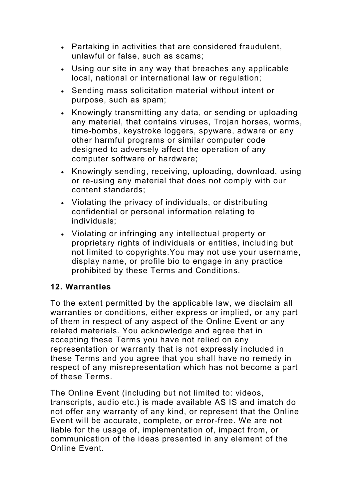- Partaking in activities that are considered fraudulent, unlawful or false, such as scams;
- Using our site in any way that breaches any applicable local, national or international law or regulation;
- Sending mass solicitation material without intent or purpose, such as spam;
- Knowingly transmitting any data, or sending or uploading any material, that contains viruses, Trojan horses, worms, time-bombs, keystroke loggers, spyware, adware or any other harmful programs or similar computer code designed to adversely affect the operation of any computer software or hardware;
- Knowingly sending, receiving, uploading, download, using or re-using any material that does not comply with our content standards;
- Violating the privacy of individuals, or distributing confidential or personal information relating to individuals;
- Violating or infringing any intellectual property or proprietary rights of individuals or entities, including but not limited to copyrights.You may not use your username, display name, or profile bio to engage in any practice prohibited by these Terms and Conditions.

## **12. Warranties**

To the extent permitted by the applicable law, we disclaim all warranties or conditions, either express or implied, or any part of them in respect of any aspect of the Online Event or any related materials. You acknowledge and agree that in accepting these Terms you have not relied on any representation or warranty that is not expressly included in these Terms and you agree that you shall have no remedy in respect of any misrepresentation which has not become a part of these Terms.

The Online Event (including but not limited to: videos, transcripts, audio etc.) is made available AS IS and imatch do not offer any warranty of any kind, or represent that the Online Event will be accurate, complete, or error-free. We are not liable for the usage of, implementation of, impact from, or communication of the ideas presented in any element of the Online Event.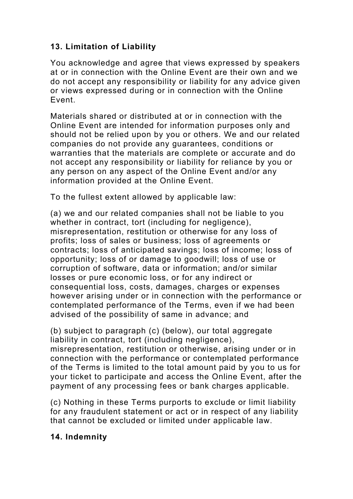## **13. Limitation of Liability**

You acknowledge and agree that views expressed by speakers at or in connection with the Online Event are their own and we do not accept any responsibility or liability for any advice given or views expressed during or in connection with the Online Event.

Materials shared or distributed at or in connection with the Online Event are intended for information purposes only and should not be relied upon by you or others. We and our related companies do not provide any guarantees, conditions or warranties that the materials are complete or accurate and do not accept any responsibility or liability for reliance by you or any person on any aspect of the Online Event and/or any information provided at the Online Event.

To the fullest extent allowed by applicable law:

(a) we and our related companies shall not be liable to you whether in contract, tort (including for negligence), misrepresentation, restitution or otherwise for any loss of profits; loss of sales or business; loss of agreements or contracts; loss of anticipated savings; loss of income; loss of opportunity; loss of or damage to goodwill; loss of use or corruption of software, data or information; and/or similar losses or pure economic loss, or for any indirect or consequential loss, costs, damages, charges or expenses however arising under or in connection with the performance or contemplated performance of the Terms, even if we had been advised of the possibility of same in advance; and

(b) subject to paragraph (c) (below), our total aggregate liability in contract, tort (including negligence), misrepresentation, restitution or otherwise, arising under or in connection with the performance or contemplated performance of the Terms is limited to the total amount paid by you to us for your ticket to participate and access the Online Event, after the payment of any processing fees or bank charges applicable.

(c) Nothing in these Terms purports to exclude or limit liability for any fraudulent statement or act or in respect of any liability that cannot be excluded or limited under applicable law.

## **14. Indemnity**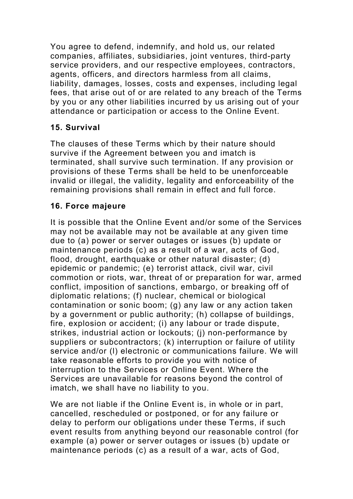You agree to defend, indemnify, and hold us, our related companies, affiliates, subsidiaries, joint ventures, third-party service providers, and our respective employees, contractors, agents, officers, and directors harmless from all claims, liability, damages, losses, costs and expenses, including legal fees, that arise out of or are related to any breach of the Terms by you or any other liabilities incurred by us arising out of your attendance or participation or access to the Online Event.

## **15. Survival**

The clauses of these Terms which by their nature should survive if the Agreement between you and imatch is terminated, shall survive such termination. If any provision or provisions of these Terms shall be held to be unenforceable invalid or illegal, the validity, legality and enforceability of the remaining provisions shall remain in effect and full force.

## **16. Force majeure**

It is possible that the Online Event and/or some of the Services may not be available may not be available at any given time due to (a) power or server outages or issues (b) update or maintenance periods (c) as a result of a war, acts of God, flood, drought, earthquake or other natural disaster; (d) epidemic or pandemic; (e) terrorist attack, civil war, civil commotion or riots, war, threat of or preparation for war, armed conflict, imposition of sanctions, embargo, or breaking off of diplomatic relations; (f) nuclear, chemical or biological contamination or sonic boom; (g) any law or any action taken by a government or public authority; (h) collapse of buildings, fire, explosion or accident; (i) any labour or trade dispute, strikes, industrial action or lockouts; (j) non-performance by suppliers or subcontractors; (k) interruption or failure of utility service and/or (l) electronic or communications failure. We will take reasonable efforts to provide you with notice of interruption to the Services or Online Event. Where the Services are unavailable for reasons beyond the control of imatch, we shall have no liability to you.

We are not liable if the Online Event is, in whole or in part, cancelled, rescheduled or postponed, or for any failure or delay to perform our obligations under these Terms, if such event results from anything beyond our reasonable control (for example (a) power or server outages or issues (b) update or maintenance periods (c) as a result of a war, acts of God,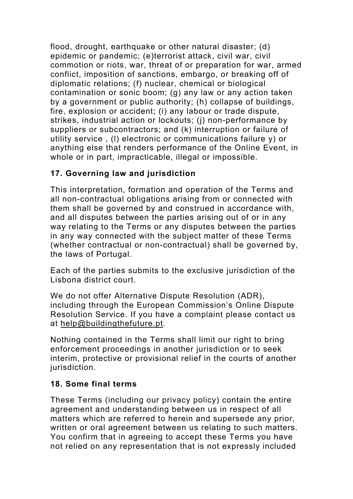flood, drought, earthquake or other natural disaster; (d) epidemic or pandemic; (e)terrorist attack, civil war, civil commotion or riots, war, threat of or preparation for war, armed conflict, imposition of sanctions, embargo, or breaking off of diplomatic relations; (f) nuclear, chemical or biological contamination or sonic boom; (g) any law or any action taken by a government or public authority; (h) collapse of buildings, fire, explosion or accident; (i) any labour or trade dispute, strikes, industrial action or lockouts; (j) non-performance by suppliers or subcontractors; and (k) interruption or failure of utility service , (l) electronic or communications failure y) or anything else that renders performance of the Online Event, in whole or in part, impracticable, illegal or impossible.

## **17. Governing law and jurisdiction**

This interpretation, formation and operation of the Terms and all non-contractual obligations arising from or connected with them shall be governed by and construed in accordance with, and all disputes between the parties arising out of or in any way relating to the Terms or any disputes between the parties in any way connected with the subject matter of these Terms (whether contractual or non-contractual) shall be governed by, the laws of Portugal.

Each of the parties submits to the exclusive jurisdiction of the Lisbona district court.

We do not offer Alternative Dispute Resolution (ADR), including through the European Commission's Online Dispute Resolution Service. If you have a complaint please contact us at help@buildingthefuture.pt.

Nothing contained in the Terms shall limit our right to bring enforcement proceedings in another jurisdiction or to seek interim, protective or provisional relief in the courts of another jurisdiction.

#### **18. Some final terms**

These Terms (including our privacy policy) contain the entire agreement and understanding between us in respect of all matters which are referred to herein and supersede any prior, written or oral agreement between us relating to such matters. You confirm that in agreeing to accept these Terms you have not relied on any representation that is not expressly included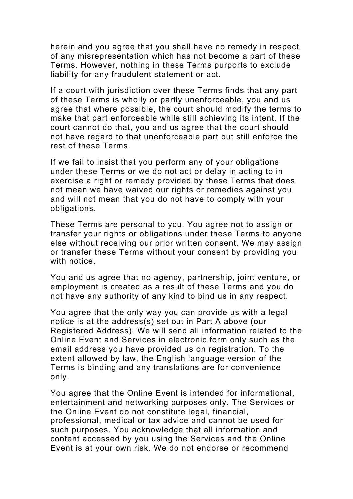herein and you agree that you shall have no remedy in respect of any misrepresentation which has not become a part of these Terms. However, nothing in these Terms purports to exclude liability for any fraudulent statement or act.

If a court with jurisdiction over these Terms finds that any part of these Terms is wholly or partly unenforceable, you and us agree that where possible, the court should modify the terms to make that part enforceable while still achieving its intent. If the court cannot do that, you and us agree that the court should not have regard to that unenforceable part but still enforce the rest of these Terms.

If we fail to insist that you perform any of your obligations under these Terms or we do not act or delay in acting to in exercise a right or remedy provided by these Terms that does not mean we have waived our rights or remedies against you and will not mean that you do not have to comply with your obligations.

These Terms are personal to you. You agree not to assign or transfer your rights or obligations under these Terms to anyone else without receiving our prior written consent. We may assign or transfer these Terms without your consent by providing you with notice.

You and us agree that no agency, partnership, joint venture, or employment is created as a result of these Terms and you do not have any authority of any kind to bind us in any respect.

You agree that the only way you can provide us with a legal notice is at the address(s) set out in Part A above (our Registered Address). We will send all information related to the Online Event and Services in electronic form only such as the email address you have provided us on registration. To the extent allowed by law, the English language version of the Terms is binding and any translations are for convenience only.

You agree that the Online Event is intended for informational, entertainment and networking purposes only. The Services or the Online Event do not constitute legal, financial, professional, medical or tax advice and cannot be used for such purposes. You acknowledge that all information and content accessed by you using the Services and the Online Event is at your own risk. We do not endorse or recommend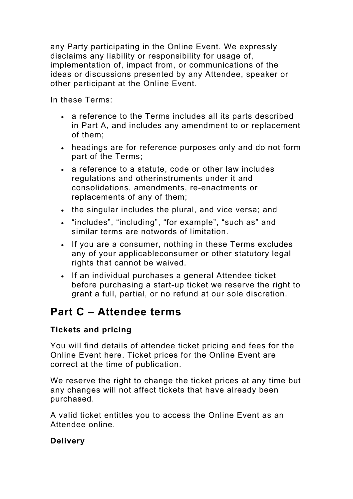any Party participating in the Online Event. We expressly disclaims any liability or responsibility for usage of, implementation of, impact from, or communications of the ideas or discussions presented by any Attendee, speaker or other participant at the Online Event.

In these Terms:

- a reference to the Terms includes all its parts described in Part A, and includes any amendment to or replacement of them;
- headings are for reference purposes only and do not form part of the Terms;
- a reference to a statute, code or other law includes regulations and otherinstruments under it and consolidations, amendments, re-enactments or replacements of any of them;
- the singular includes the plural, and vice versa; and
- "includes", "including", "for example", "such as" and similar terms are notwords of limitation.
- If you are a consumer, nothing in these Terms excludes any of your applicableconsumer or other statutory legal rights that cannot be waived.
- If an individual purchases a general Attendee ticket before purchasing a start-up ticket we reserve the right to grant a full, partial, or no refund at our sole discretion.

## **Part C – Attendee terms**

## **Tickets and pricing**

You will find details of attendee ticket pricing and fees for the Online Event here. Ticket prices for the Online Event are correct at the time of publication.

We reserve the right to change the ticket prices at any time but any changes will not affect tickets that have already been purchased.

A valid ticket entitles you to access the Online Event as an Attendee online.

## **Delivery**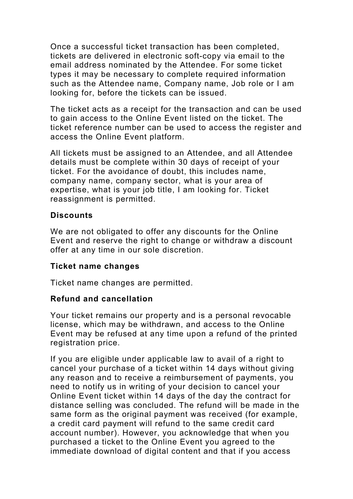Once a successful ticket transaction has been completed, tickets are delivered in electronic soft-copy via email to the email address nominated by the Attendee. For some ticket types it may be necessary to complete required information such as the Attendee name, Company name, Job role or I am looking for, before the tickets can be issued.

The ticket acts as a receipt for the transaction and can be used to gain access to the Online Event listed on the ticket. The ticket reference number can be used to access the register and access the Online Event platform.

All tickets must be assigned to an Attendee, and all Attendee details must be complete within 30 days of receipt of your ticket. For the avoidance of doubt, this includes name, company name, company sector, what is your area of expertise, what is your job title, I am looking for. Ticket reassignment is permitted.

#### **Discounts**

We are not obligated to offer any discounts for the Online Event and reserve the right to change or withdraw a discount offer at any time in our sole discretion.

#### **Ticket name changes**

Ticket name changes are permitted.

#### **Refund and cancellation**

Your ticket remains our property and is a personal revocable license, which may be withdrawn, and access to the Online Event may be refused at any time upon a refund of the printed registration price.

If you are eligible under applicable law to avail of a right to cancel your purchase of a ticket within 14 days without giving any reason and to receive a reimbursement of payments, you need to notify us in writing of your decision to cancel your Online Event ticket within 14 days of the day the contract for distance selling was concluded. The refund will be made in the same form as the original payment was received (for example, a credit card payment will refund to the same credit card account number). However, you acknowledge that when you purchased a ticket to the Online Event you agreed to the immediate download of digital content and that if you access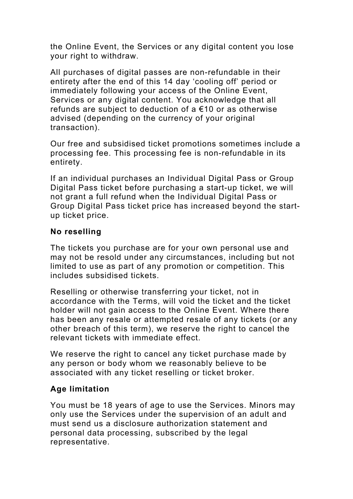the Online Event, the Services or any digital content you lose your right to withdraw.

All purchases of digital passes are non-refundable in their entirety after the end of this 14 day 'cooling off' period or immediately following your access of the Online Event, Services or any digital content. You acknowledge that all refunds are subject to deduction of a €10 or as otherwise advised (depending on the currency of your original transaction).

Our free and subsidised ticket promotions sometimes include a processing fee. This processing fee is non-refundable in its entirety.

If an individual purchases an Individual Digital Pass or Group Digital Pass ticket before purchasing a start-up ticket, we will not grant a full refund when the Individual Digital Pass or Group Digital Pass ticket price has increased beyond the startup ticket price.

### **No reselling**

The tickets you purchase are for your own personal use and may not be resold under any circumstances, including but not limited to use as part of any promotion or competition. This includes subsidised tickets.

Reselling or otherwise transferring your ticket, not in accordance with the Terms, will void the ticket and the ticket holder will not gain access to the Online Event. Where there has been any resale or attempted resale of any tickets (or any other breach of this term), we reserve the right to cancel the relevant tickets with immediate effect.

We reserve the right to cancel any ticket purchase made by any person or body whom we reasonably believe to be associated with any ticket reselling or ticket broker.

#### **Age limitation**

You must be 18 years of age to use the Services. Minors may only use the Services under the supervision of an adult and must send us a disclosure authorization statement and personal data processing, subscribed by the legal representative.